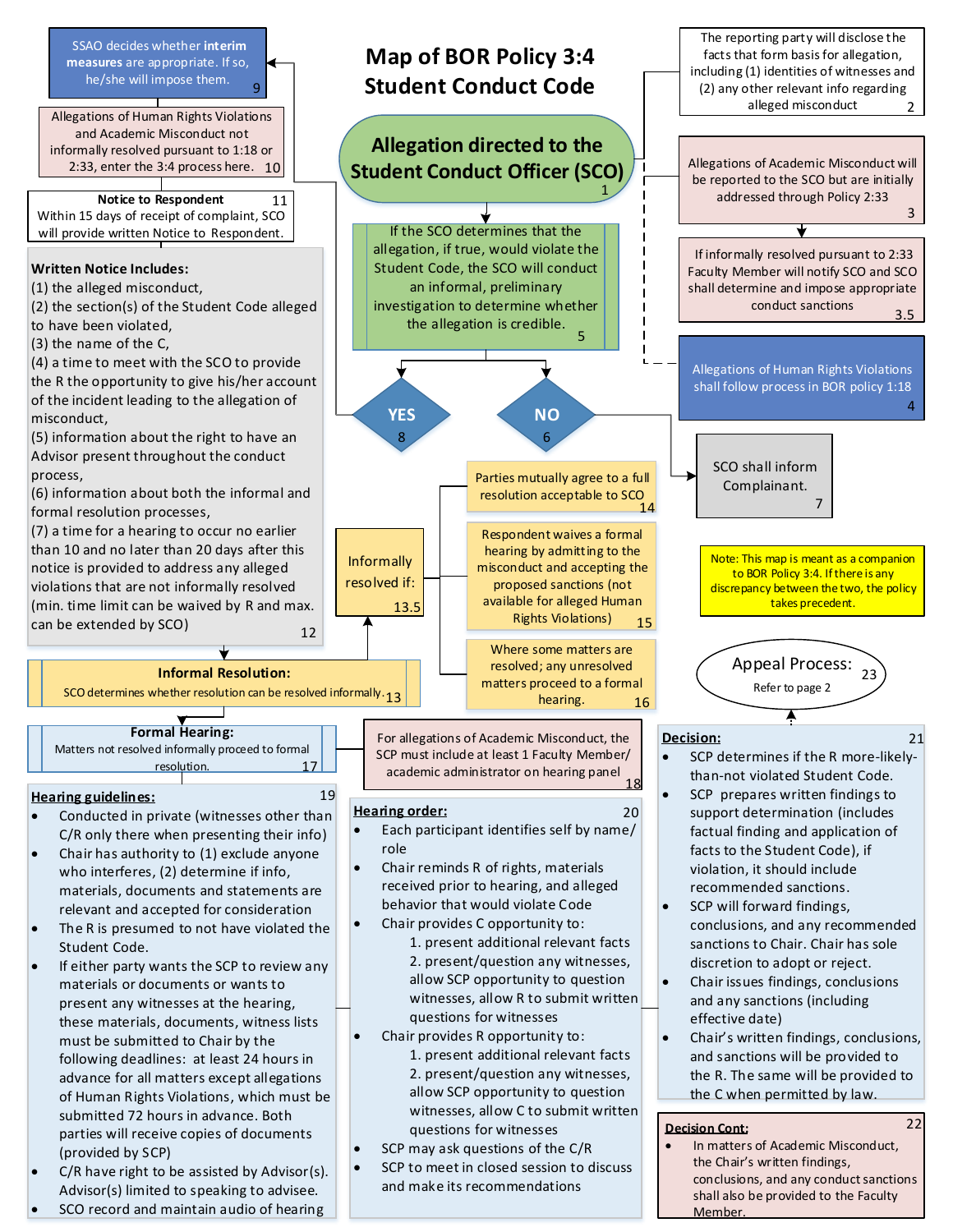

Member.

SCO record and maintain audio of hearing